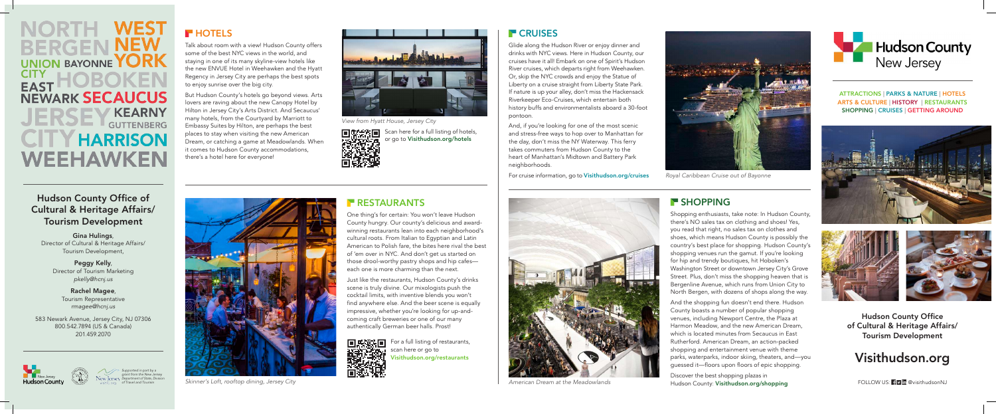One thing's for certain: You won't leave Hudson County hungry. Our county's delicious and awardwinning restaurants lean into each neighborhood's cultural roots. From Italian to Egyptian and Latin American to Polish fare, the bites here rival the best of 'em over in NYC. And don't get us started on those drool-worthy pastry shops and hip cafes each one is more charming than the next.

Just like the restaurants, Hudson County's drinks scene is truly divine. Our mixologists push the cocktail limits, with inventive blends you won't find anywhere else. And the beer scene is equally impressive, whether you're looking for up-andcoming craft breweries or one of our many authentically German beer halls. Prost!



Glide along the Hudson River or enjoy dinner and drinks with NYC views. Here in Hudson County, our cruises have it all! Embark on one of Spirit's Hudson River cruises, which departs right from Weehawken. Or, skip the NYC crowds and enjoy the Statue of Liberty on a cruise straight from Liberty State Park. If nature is up your alley, don't miss the Hackensack Riverkeeper Eco-Cruises, which entertain both history buffs and environmentalists aboard a 30-foot

pontoon.

And, if you're looking for one of the most scenic and stress-free ways to hop over to Manhattan for the day, don't miss the NY Waterway. This ferry takes commuters from Hudson County to the heart of Manhattan's Midtown and Battery Park neighborhoods.

For cruise information, go to Visithudson.org/cruises



Skinner's Loft, rooftop dining, Jersey City **American Dream at the Meadowlands American Dream at the Meadowlands** 

### **RESTAURANTS**

Discover the best shopping plazas in Hudson County: Visithudson.org/shopping FOLLOW US: FIV in @visithudsonNJ



Talk about room with a view! Hudson County offers some of the best NYC views in the world, and staying in one of its many skyline-view hotels like the new ENVUE Hotel in Weehawken and the Hyatt Regency in Jersey City are perhaps the best spots to enjoy sunrise over the big city.

> For a full listing of restaurants, scan here or go to Visithudson.org/restaurants



But Hudson County's hotels go beyond views. Arts lovers are raving about the new Canopy Hotel by Hilton in Jersey City's Arts District. And Secaucus' many hotels, from the Courtyard by Marriott to Embassy Suites by Hilton, are perhaps the best places to stay when visiting the new American Dream, or catching a game at Meadowlands. When it comes to Hudson County accommodations, there's a hotel here for everyone!

> Shopping enthusiasts, take note: In Hudson County, there's NO sales tax on clothing and shoes! Yes, you read that right, no sales tax on clothes and shoes, which means Hudson County is possibly the country's best place for shopping. Hudson County's shopping venues run the gamut. If you're looking for hip and trendy boutiques, hit Hoboken's Washington Street or downtown Jersey City's Grove Street. Plus, don't miss the shopping heaven that is Bergenline Avenue, which runs from Union City to North Bergen, with dozens of shops along the way.

And the shopping fun doesn't end there. Hudson County boasts a number of popular shopping venues, including Newport Centre, the Plaza at Harmon Meadow, and the new American Dream, which is located minutes from Secaucus in East Rutherford. American Dream, an action-packed shopping and entertainment venue with theme parks, waterparks, indoor skiing, theaters, and—you guessed it—floors upon floors of epic shopping.

Hudson County Office of Cultural & Heritage Affairs/ Tourism Development

#### ATTRACTIONS | PARKS & NATURE | HOTELS ARTS & CULTURE | HISTORY | RESTAURANTS SHOPPING | CRUISES | GETTING AROUND





*Supported in part by a grant from the New Jersey Department of State, Division of Travel and Tourism*

## **HOTELS**



*View from Hyatt House, Jersey City*



Scan here for a full listing of hotels, or go to Visithudson.org/hotels

#### **F** CRUISES



*Royal Caribbean Cruise out of Bayonne*

#### **F** SHOPPING

**WEST BERGEN NEW** UNION BAYONNE **YORK CITY EAST NEWARK SECAUCUS KEARNY GUTTENBERG CITY HARRISON** WEEHAWKEN

### Hudson County Office of Cultural & Heritage Affairs/ Tourism Development

Gina Hulings, Director of Cultural & Heritage Affairs/ Tourism Development,

> Peggy Kelly, Director of Tourism Marketing *pkelly@hcnj.us*

Rachel Magee, Tourism Representative *rmagee@hcnj.us*

583 Newark Avenue, Jersey City, NJ 07306 800.542.7894 (US & Canada) 201.459.2070



# Visithudson.org